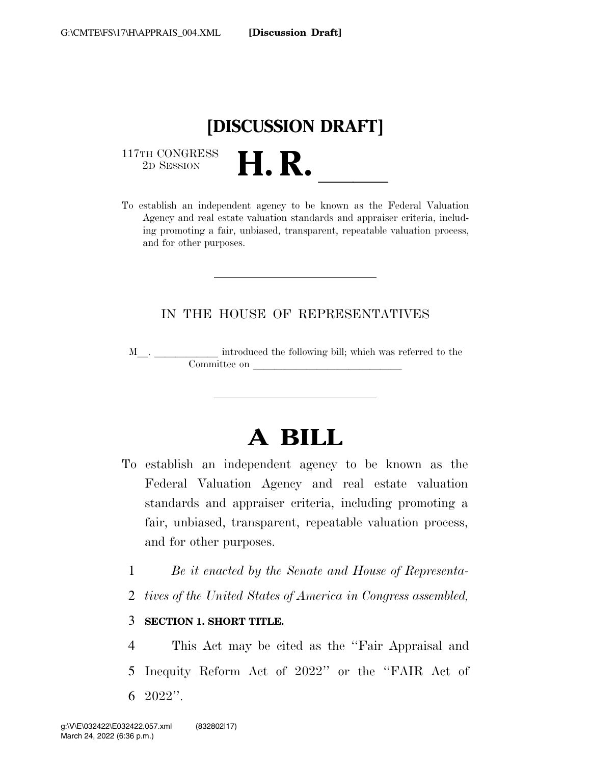

 $\begin{array}{c} \text{117TH CONGRESS} \\ \text{2D SESION} \end{array}$ 

117TH CONGRESS<br>
2D SESSION<br>
To establish an independent agency to be known as the Federal Valuation Agency and real estate valuation standards and appraiser criteria, including promoting a fair, unbiased, transparent, repeatable valuation process, and for other purposes.

# IN THE HOUSE OF REPRESENTATIVES

M<sub>\_\_\_</sub>. \_\_\_\_\_\_\_\_\_\_\_\_\_ introduced the following bill; which was referred to the  ${\bf Committee \ on \ \_\_}$ 

# **A BILL**

- To establish an independent agency to be known as the Federal Valuation Agency and real estate valuation standards and appraiser criteria, including promoting a fair, unbiased, transparent, repeatable valuation process, and for other purposes.
	- 1 *Be it enacted by the Senate and House of Representa-*
	- 2 *tives of the United States of America in Congress assembled,*

#### 3 **SECTION 1. SHORT TITLE.**

4 This Act may be cited as the ''Fair Appraisal and 5 Inequity Reform Act of 2022'' or the ''FAIR Act of 6 2022''.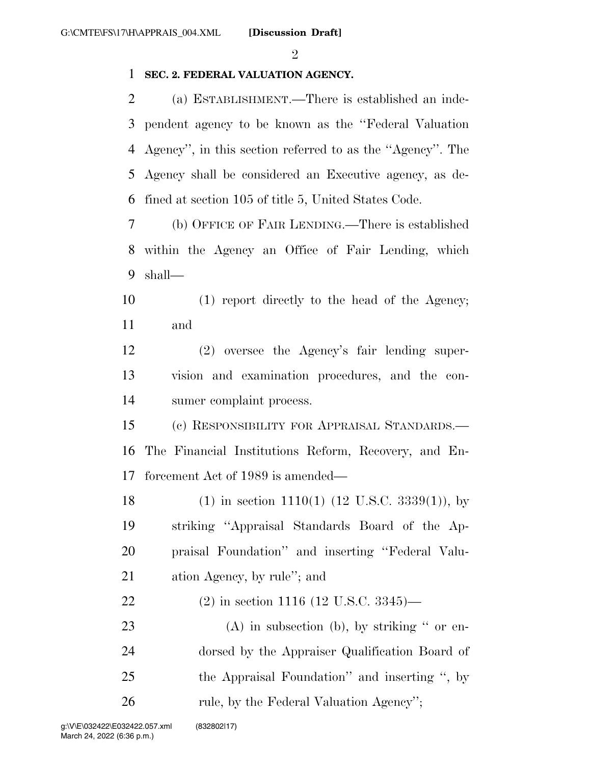$\mathfrak{D}$ 

## **SEC. 2. FEDERAL VALUATION AGENCY.**

 (a) ESTABLISHMENT.—There is established an inde- pendent agency to be known as the ''Federal Valuation Agency'', in this section referred to as the ''Agency''. The Agency shall be considered an Executive agency, as de-fined at section 105 of title 5, United States Code.

 (b) OFFICE OF FAIR LENDING.—There is established within the Agency an Office of Fair Lending, which shall—

 (1) report directly to the head of the Agency; and

 (2) oversee the Agency's fair lending super- vision and examination procedures, and the con-sumer complaint process.

 (c) RESPONSIBILITY FOR APPRAISAL STANDARDS.— The Financial Institutions Reform, Recovery, and En-forcement Act of 1989 is amended—

 (1) in section 1110(1) (12 U.S.C. 3339(1)), by striking ''Appraisal Standards Board of the Ap- praisal Foundation'' and inserting ''Federal Valu-ation Agency, by rule''; and

(2) in section 1116 (12 U.S.C. 3345)—

23 (A) in subsection (b), by striking " or en- dorsed by the Appraiser Qualification Board of the Appraisal Foundation'' and inserting '', by 26 rule, by the Federal Valuation Agency";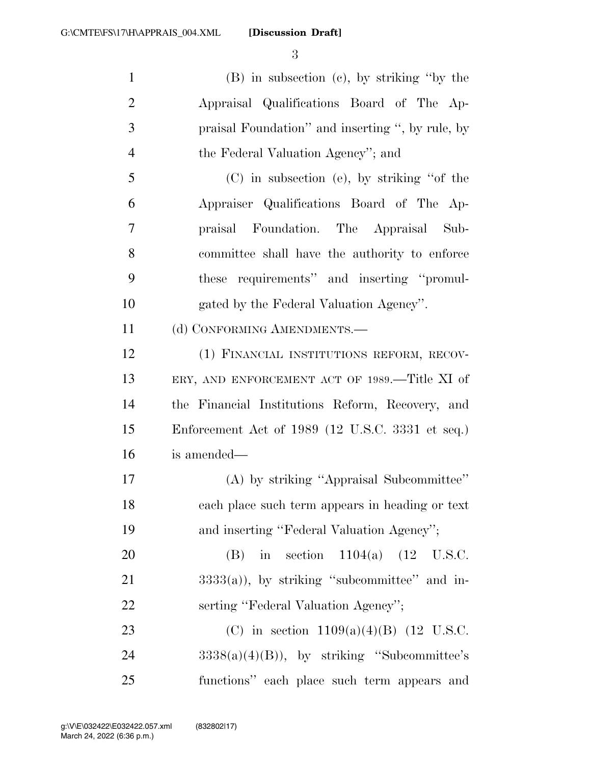**[Discussion Draft]** 

 (B) in subsection (c), by striking ''by the Appraisal Qualifications Board of The Ap- praisal Foundation'' and inserting '', by rule, by 4 the Federal Valuation Agency''; and (C) in subsection (e), by striking ''of the Appraiser Qualifications Board of The Ap- praisal Foundation. The Appraisal Sub- committee shall have the authority to enforce these requirements'' and inserting ''promul- gated by the Federal Valuation Agency''. 11 (d) CONFORMING AMENDMENTS.— (1) FINANCIAL INSTITUTIONS REFORM, RECOV- ERY, AND ENFORCEMENT ACT OF 1989.—Title XI of the Financial Institutions Reform, Recovery, and Enforcement Act of 1989 (12 U.S.C. 3331 et seq.) is amended— (A) by striking ''Appraisal Subcommittee'' each place such term appears in heading or text 19 and inserting "Federal Valuation Agency";

 (B) in section 1104(a) (12 U.S.C. 21  $3333(a)$ , by striking "subcommittee" and in-22 serting "Federal Valuation Agency";

23 (C) in section  $1109(a)(4)(B)$  (12 U.S.C. 24  $3338(a)(4)(B)$ , by striking "Subcommittee's functions'' each place such term appears and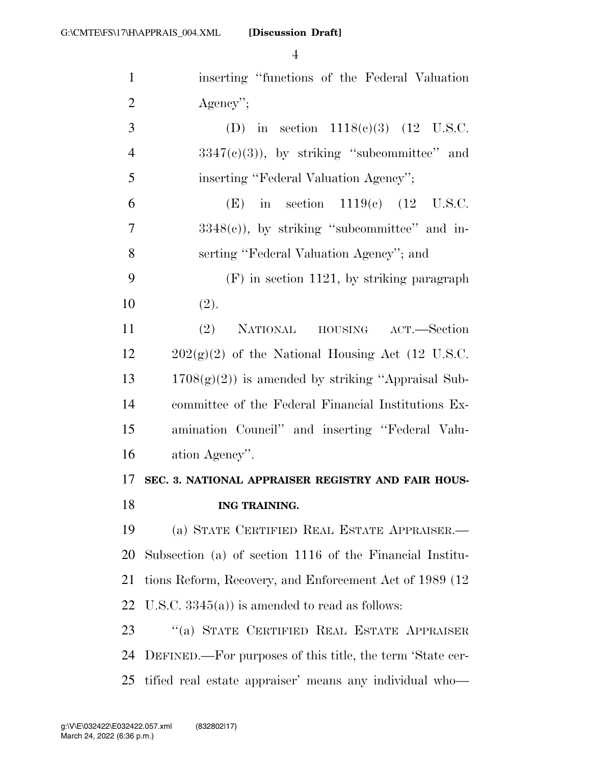| $\mathbf{1}$   | inserting "functions of the Federal Valuation"            |
|----------------|-----------------------------------------------------------|
| $\overline{2}$ | $Agency$ ";                                               |
| 3              | (D) in section $1118(e)(3)$ (12 U.S.C.                    |
| $\overline{4}$ | $3347(c)(3)$ , by striking "subcommittee" and             |
| 5              | inserting "Federal Valuation Agency";                     |
| 6              | (E) in section $1119(c)$ (12 U.S.C.                       |
| 7              | $3348(e)$ , by striking "subcommittee" and in-            |
| 8              | serting "Federal Valuation Agency"; and                   |
| 9              | $(F)$ in section 1121, by striking paragraph              |
| 10             | (2).                                                      |
| 11             | NATIONAL HOUSING ACT.—Section<br>(2)                      |
| 12             | $202(g)(2)$ of the National Housing Act (12 U.S.C.        |
| 13             | $1708(g)(2)$ ) is amended by striking "Appraisal Sub-     |
| 14             | committee of the Federal Financial Institutions Ex-       |
| 15             | amination Council" and inserting "Federal Valu-           |
| 16             | ation Agency".                                            |
| 17             | SEC. 3. NATIONAL APPRAISER REGISTRY AND FAIR HOUS-        |
| 18             | ING TRAINING.                                             |
| 19             | (a) STATE CERTIFIED REAL ESTATE APPRAISER.—               |
| <b>20</b>      | Subsection (a) of section 1116 of the Financial Institu-  |
| 21             | tions Reform, Recovery, and Enforcement Act of 1989 (12)  |
| 22             | U.S.C. $3345(a)$ is amended to read as follows:           |
| 23             | "(a) STATE CERTIFIED REAL ESTATE APPRAISER                |
| 24             | DEFINED.—For purposes of this title, the term 'State cer- |
| 25             | tified real estate appraiser' means any individual who-   |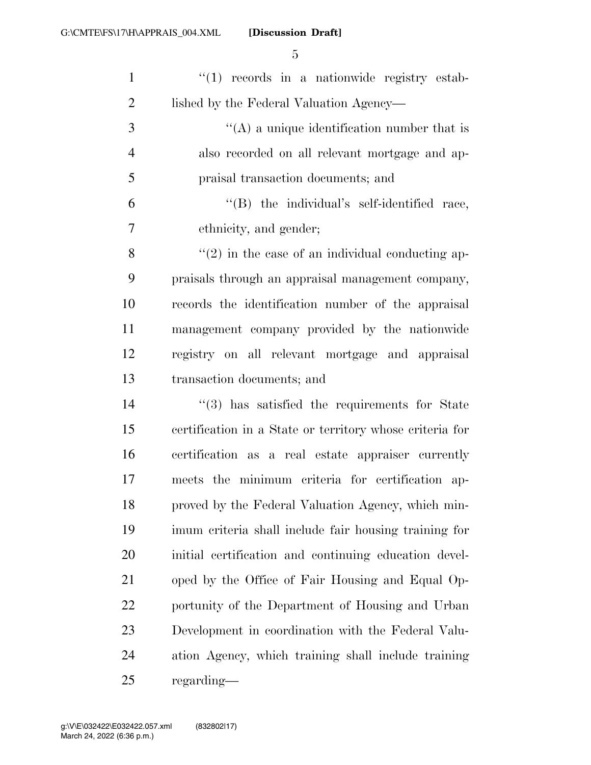| $\mathbf{1}$   | $\lq(1)$ records in a nationwide registry estab-         |
|----------------|----------------------------------------------------------|
| $\overline{2}$ | lished by the Federal Valuation Agency—                  |
| 3              | $\lq\lq$ a unique identification number that is          |
| $\overline{4}$ | also recorded on all relevant mortgage and ap-           |
| 5              | praisal transaction documents; and                       |
| 6              | $\lq\lq$ the individual's self-identified race,          |
| 7              | ethnicity, and gender;                                   |
| 8              | $\lq(2)$ in the case of an individual conducting ap-     |
| 9              | praisals through an appraisal management company,        |
| 10             | records the identification number of the appraisal       |
| 11             | management company provided by the nationwide            |
| 12             | registry on all relevant mortgage and appraisal          |
| 13             | transaction documents; and                               |
| 14             | $\cdot$ (3) has satisfied the requirements for State     |
| 15             | certification in a State or territory whose criteria for |
| 16             | certification as a real estate appraiser currently       |
| 17             | meets the minimum criteria for certification ap-         |
| 18             | proved by the Federal Valuation Agency, which min-       |
| 19             | imum criteria shall include fair housing training for    |
| <b>20</b>      | initial certification and continuing education devel-    |
| 21             | oped by the Office of Fair Housing and Equal Op-         |
| 22             | portunity of the Department of Housing and Urban         |
| 23             | Development in coordination with the Federal Valu-       |
| 24             | ation Agency, which training shall include training      |
| 25             | regarding—                                               |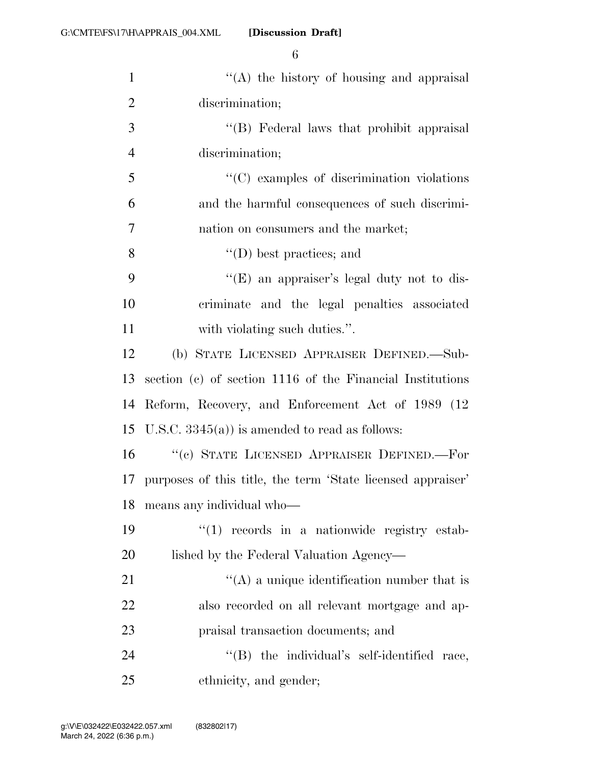| ۰. | ۰           |  |
|----|-------------|--|
| ٠  | I           |  |
| ×  | ٢<br>I<br>٧ |  |

| $\mathbf{1}$   | $\lq\lq$ the history of housing and appraisal                  |
|----------------|----------------------------------------------------------------|
| $\overline{2}$ | discrimination;                                                |
| 3              | "(B) Federal laws that prohibit appraisal                      |
| $\overline{4}$ | discrimination;                                                |
| 5              | $\cdot\cdot$ (C) examples of discrimination violations         |
| 6              | and the harmful consequences of such discrimi-                 |
| 7              | nation on consumers and the market;                            |
| 8              | $\lq\lq$ best practices; and                                   |
| 9              | "(E) an appraiser's legal duty not to dis-                     |
| 10             | criminate and the legal penalties associated                   |
| 11             | with violating such duties.".                                  |
| 12             | (b) STATE LICENSED APPRAISER DEFINED.—Sub-                     |
| 13             | section (c) of section 1116 of the Financial Institutions      |
| 14             | Reform, Recovery, and Enforcement Act of 1989 (12              |
| 15             | U.S.C. $3345(a)$ ) is amended to read as follows:              |
| 16             | "(c) STATE LICENSED APPRAISER DEFINED.—For                     |
|                | 17 purposes of this title, the term 'State licensed appraiser' |
| 18             | means any individual who-                                      |
| 19             | $``(1)$ records in a nationwide registry estab-                |
| 20             | lished by the Federal Valuation Agency—                        |
| 21             | $\lq\lq$ a unique identification number that is                |
| 22             | also recorded on all relevant mortgage and ap-                 |
| 23             | praisal transaction documents; and                             |
| 24             | $\lq\lq$ (B) the individual's self-identified race,            |
| 25             | ethnicity, and gender;                                         |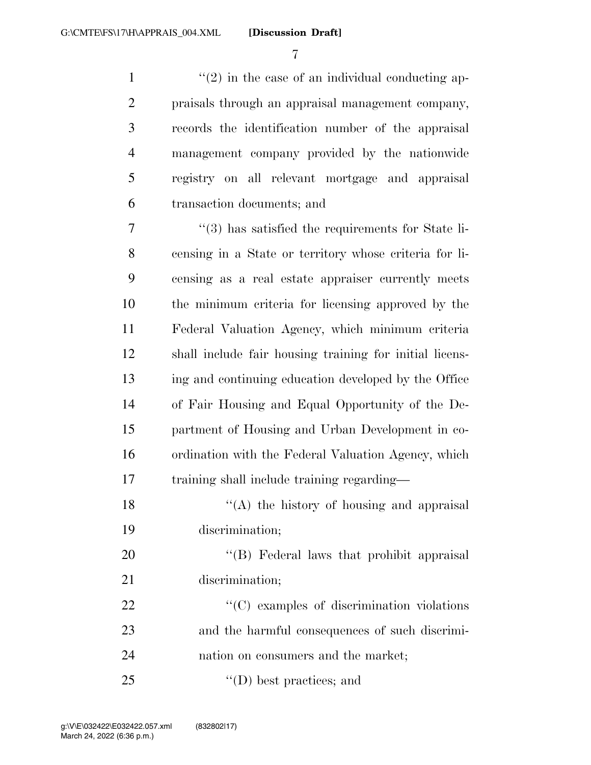$\mathcal{L}(2)$  in the case of an individual conducting ap- praisals through an appraisal management company, records the identification number of the appraisal management company provided by the nationwide registry on all relevant mortgage and appraisal transaction documents; and

 ''(3) has satisfied the requirements for State li- censing in a State or territory whose criteria for li- censing as a real estate appraiser currently meets the minimum criteria for licensing approved by the Federal Valuation Agency, which minimum criteria shall include fair housing training for initial licens- ing and continuing education developed by the Office of Fair Housing and Equal Opportunity of the De- partment of Housing and Urban Development in co- ordination with the Federal Valuation Agency, which training shall include training regarding—

18  $\langle (A)$  the history of housing and appraisal discrimination;

20 "'(B) Federal laws that prohibit appraisal discrimination;

22  $\cdot$  (C) examples of discrimination violations and the harmful consequences of such discrimi-nation on consumers and the market;

''(D) best practices; and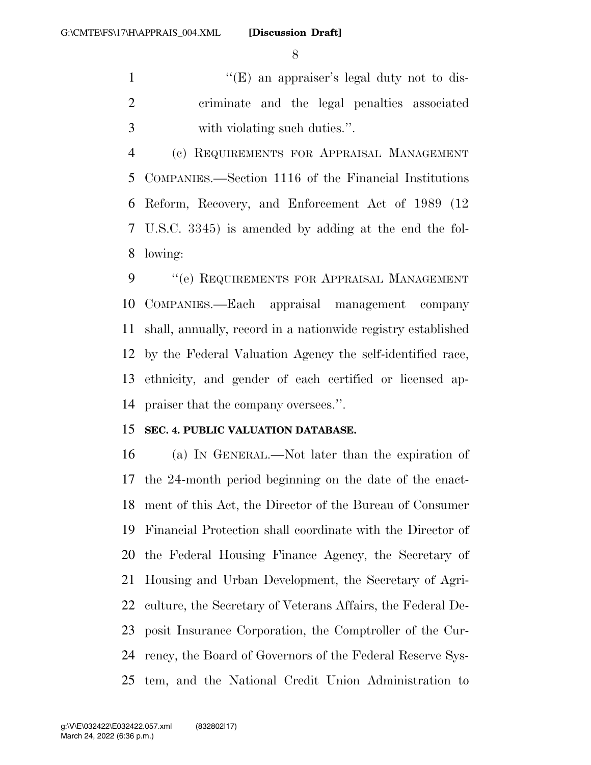1 ''(E) an appraiser's legal duty not to dis- criminate and the legal penalties associated with violating such duties.''.

 (c) REQUIREMENTS FOR APPRAISAL MANAGEMENT COMPANIES.—Section 1116 of the Financial Institutions Reform, Recovery, and Enforcement Act of 1989 (12 U.S.C. 3345) is amended by adding at the end the fol-lowing:

9 " (e) REQUIREMENTS FOR APPRAISAL MANAGEMENT COMPANIES.—Each appraisal management company shall, annually, record in a nationwide registry established by the Federal Valuation Agency the self-identified race, ethnicity, and gender of each certified or licensed ap-praiser that the company oversees.''.

## **SEC. 4. PUBLIC VALUATION DATABASE.**

 (a) IN GENERAL.—Not later than the expiration of the 24-month period beginning on the date of the enact- ment of this Act, the Director of the Bureau of Consumer Financial Protection shall coordinate with the Director of the Federal Housing Finance Agency, the Secretary of Housing and Urban Development, the Secretary of Agri- culture, the Secretary of Veterans Affairs, the Federal De- posit Insurance Corporation, the Comptroller of the Cur- rency, the Board of Governors of the Federal Reserve Sys-tem, and the National Credit Union Administration to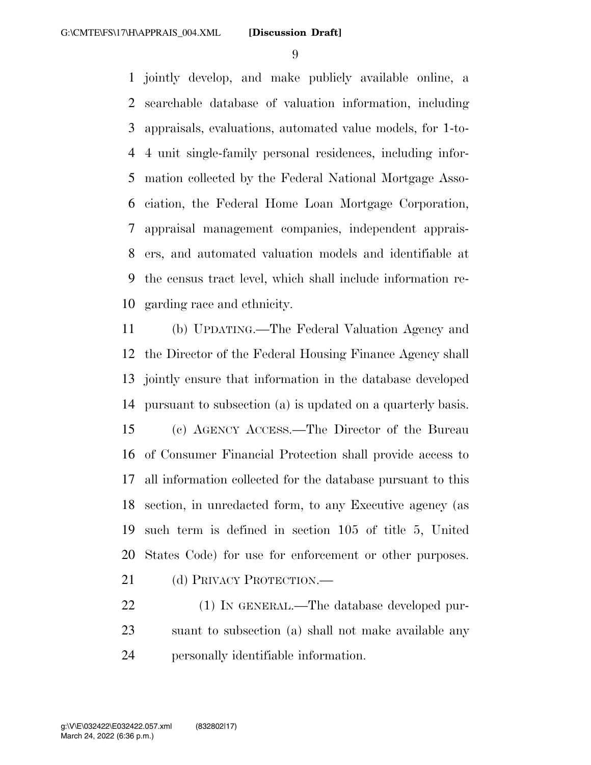jointly develop, and make publicly available online, a searchable database of valuation information, including appraisals, evaluations, automated value models, for 1-to- 4 unit single-family personal residences, including infor- mation collected by the Federal National Mortgage Asso- ciation, the Federal Home Loan Mortgage Corporation, appraisal management companies, independent apprais- ers, and automated valuation models and identifiable at the census tract level, which shall include information re-garding race and ethnicity.

 (b) UPDATING.—The Federal Valuation Agency and the Director of the Federal Housing Finance Agency shall jointly ensure that information in the database developed pursuant to subsection (a) is updated on a quarterly basis. (c) AGENCY ACCESS.—The Director of the Bureau of Consumer Financial Protection shall provide access to all information collected for the database pursuant to this section, in unredacted form, to any Executive agency (as such term is defined in section 105 of title 5, United States Code) for use for enforcement or other purposes.

21 (d) PRIVACY PROTECTION.—

22 (1) IN GENERAL.—The database developed pur- suant to subsection (a) shall not make available any personally identifiable information.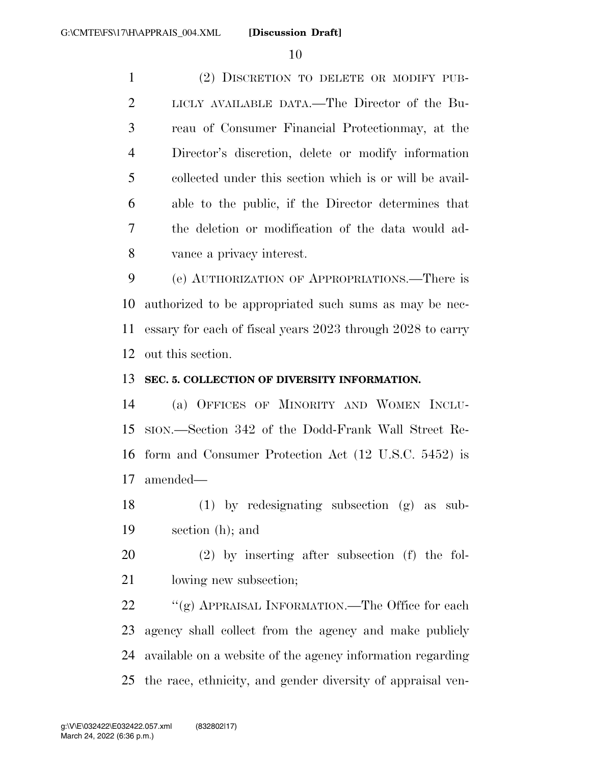(2) DISCRETION TO DELETE OR MODIFY PUB- LICLY AVAILABLE DATA.—The Director of the Bu- reau of Consumer Financial Protectionmay, at the Director's discretion, delete or modify information collected under this section which is or will be avail- able to the public, if the Director determines that the deletion or modification of the data would ad-vance a privacy interest.

 (e) AUTHORIZATION OF APPROPRIATIONS.—There is authorized to be appropriated such sums as may be nec- essary for each of fiscal years 2023 through 2028 to carry out this section.

## **SEC. 5. COLLECTION OF DIVERSITY INFORMATION.**

 (a) OFFICES OF MINORITY AND WOMEN INCLU- SION.—Section 342 of the Dodd-Frank Wall Street Re- form and Consumer Protection Act (12 U.S.C. 5452) is amended—

 (1) by redesignating subsection (g) as sub-section (h); and

 (2) by inserting after subsection (f) the fol-21 lowing new subsection;

22 ""(g) APPRAISAL INFORMATION.—The Office for each agency shall collect from the agency and make publicly available on a website of the agency information regarding the race, ethnicity, and gender diversity of appraisal ven-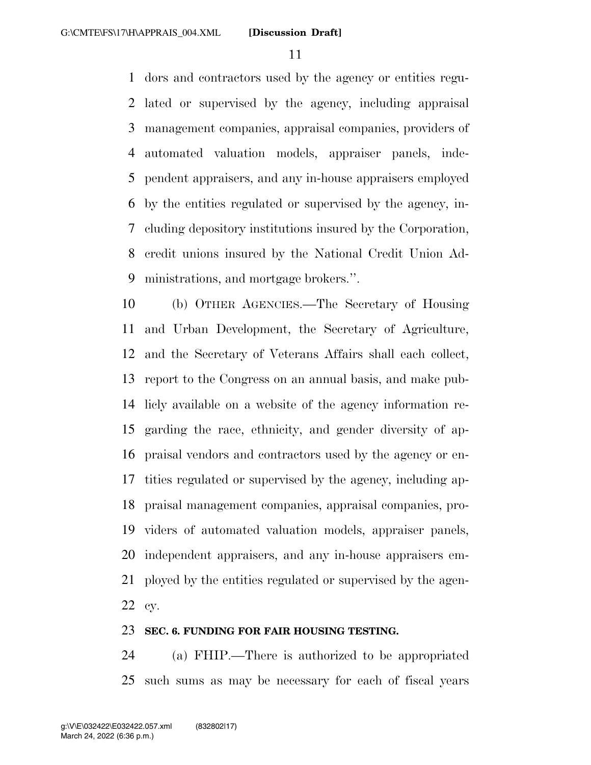dors and contractors used by the agency or entities regu- lated or supervised by the agency, including appraisal management companies, appraisal companies, providers of automated valuation models, appraiser panels, inde- pendent appraisers, and any in-house appraisers employed by the entities regulated or supervised by the agency, in- cluding depository institutions insured by the Corporation, credit unions insured by the National Credit Union Ad-ministrations, and mortgage brokers.''.

 (b) OTHER AGENCIES.—The Secretary of Housing and Urban Development, the Secretary of Agriculture, and the Secretary of Veterans Affairs shall each collect, report to the Congress on an annual basis, and make pub- licly available on a website of the agency information re- garding the race, ethnicity, and gender diversity of ap- praisal vendors and contractors used by the agency or en- tities regulated or supervised by the agency, including ap- praisal management companies, appraisal companies, pro- viders of automated valuation models, appraiser panels, independent appraisers, and any in-house appraisers em- ployed by the entities regulated or supervised by the agen-cy.

#### **SEC. 6. FUNDING FOR FAIR HOUSING TESTING.**

 (a) FHIP.—There is authorized to be appropriated such sums as may be necessary for each of fiscal years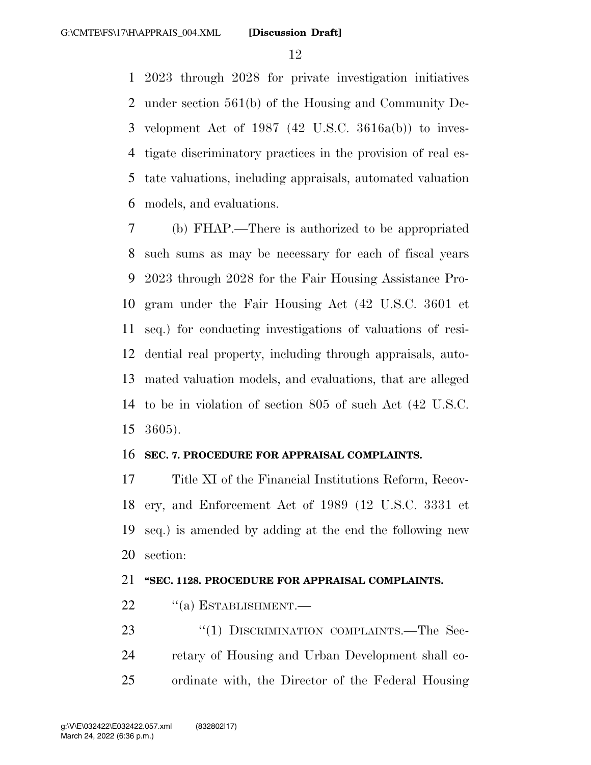2023 through 2028 for private investigation initiatives under section 561(b) of the Housing and Community De- velopment Act of 1987 (42 U.S.C. 3616a(b)) to inves- tigate discriminatory practices in the provision of real es- tate valuations, including appraisals, automated valuation models, and evaluations.

 (b) FHAP.—There is authorized to be appropriated such sums as may be necessary for each of fiscal years 2023 through 2028 for the Fair Housing Assistance Pro- gram under the Fair Housing Act (42 U.S.C. 3601 et seq.) for conducting investigations of valuations of resi- dential real property, including through appraisals, auto- mated valuation models, and evaluations, that are alleged to be in violation of section 805 of such Act (42 U.S.C. 3605).

#### **SEC. 7. PROCEDURE FOR APPRAISAL COMPLAINTS.**

 Title XI of the Financial Institutions Reform, Recov- ery, and Enforcement Act of 1989 (12 U.S.C. 3331 et seq.) is amended by adding at the end the following new section:

#### **''SEC. 1128. PROCEDURE FOR APPRAISAL COMPLAINTS.**

- 22 "(a) ESTABLISHMENT.—
- 23 "(1) DISCRIMINATION COMPLAINTS.—The Sec- retary of Housing and Urban Development shall co-ordinate with, the Director of the Federal Housing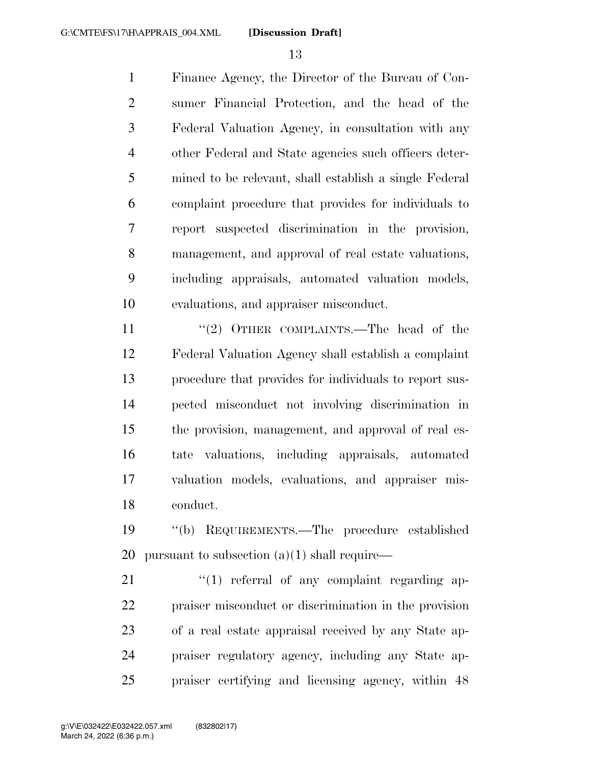Finance Agency, the Director of the Bureau of Con- sumer Financial Protection, and the head of the Federal Valuation Agency, in consultation with any other Federal and State agencies such officers deter- mined to be relevant, shall establish a single Federal complaint procedure that provides for individuals to report suspected discrimination in the provision, management, and approval of real estate valuations, including appraisals, automated valuation models, evaluations, and appraiser misconduct.

11 "(2) OTHER COMPLAINTS.—The head of the Federal Valuation Agency shall establish a complaint procedure that provides for individuals to report sus- pected misconduct not involving discrimination in the provision, management, and approval of real es- tate valuations, including appraisals, automated valuation models, evaluations, and appraiser mis-conduct.

 ''(b) REQUIREMENTS.—The procedure established 20 pursuant to subsection  $(a)(1)$  shall require—

 "(1) referral of any complaint regarding ap- praiser misconduct or discrimination in the provision of a real estate appraisal received by any State ap- praiser regulatory agency, including any State ap-praiser certifying and licensing agency, within 48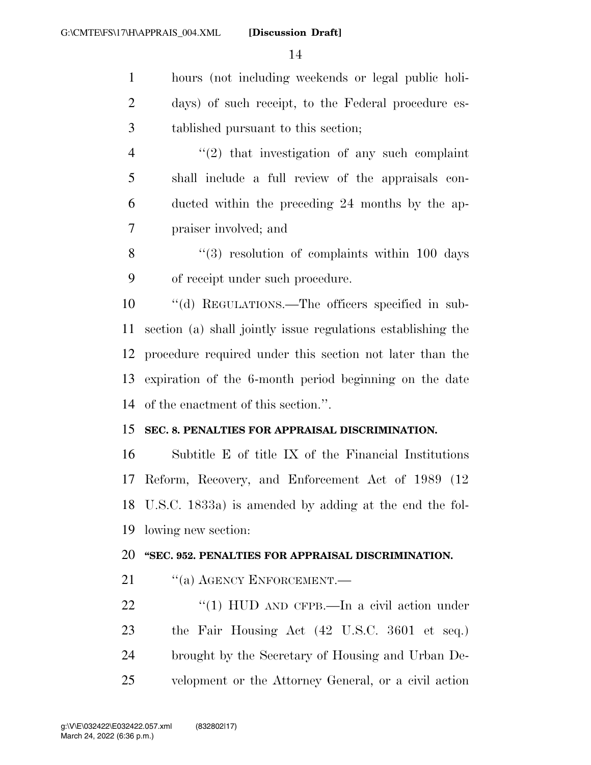hours (not including weekends or legal public holi- days) of such receipt, to the Federal procedure es- tablished pursuant to this section;  $\frac{4}{2}$  ''(2) that investigation of any such complaint

 shall include a full review of the appraisals con- ducted within the preceding 24 months by the ap-praiser involved; and

8 "(3) resolution of complaints within 100 days of receipt under such procedure.

 ''(d) REGULATIONS.—The officers specified in sub- section (a) shall jointly issue regulations establishing the procedure required under this section not later than the expiration of the 6-month period beginning on the date of the enactment of this section.''.

#### **SEC. 8. PENALTIES FOR APPRAISAL DISCRIMINATION.**

 Subtitle E of title IX of the Financial Institutions Reform, Recovery, and Enforcement Act of 1989 (12 U.S.C. 1833a) is amended by adding at the end the fol-lowing new section:

## **''SEC. 952. PENALTIES FOR APPRAISAL DISCRIMINATION.**

21 "(a) AGENCY ENFORCEMENT.—

22 "(1) HUD AND CFPB.—In a civil action under the Fair Housing Act (42 U.S.C. 3601 et seq.) brought by the Secretary of Housing and Urban De-velopment or the Attorney General, or a civil action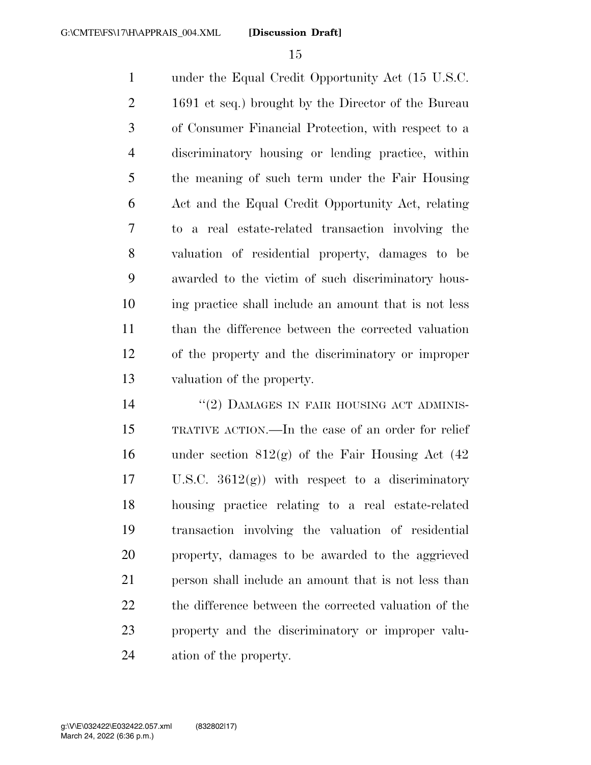under the Equal Credit Opportunity Act (15 U.S.C. 1691 et seq.) brought by the Director of the Bureau of Consumer Financial Protection, with respect to a discriminatory housing or lending practice, within the meaning of such term under the Fair Housing Act and the Equal Credit Opportunity Act, relating to a real estate-related transaction involving the valuation of residential property, damages to be awarded to the victim of such discriminatory hous- ing practice shall include an amount that is not less than the difference between the corrected valuation of the property and the discriminatory or improper valuation of the property.

14 ''(2) DAMAGES IN FAIR HOUSING ACT ADMINIS- TRATIVE ACTION.—In the case of an order for relief 16 under section  $812(g)$  of the Fair Housing Act (42) 17 U.S.C.  $3612(g)$  with respect to a discriminatory housing practice relating to a real estate-related transaction involving the valuation of residential property, damages to be awarded to the aggrieved 21 person shall include an amount that is not less than 22 the difference between the corrected valuation of the property and the discriminatory or improper valu-ation of the property.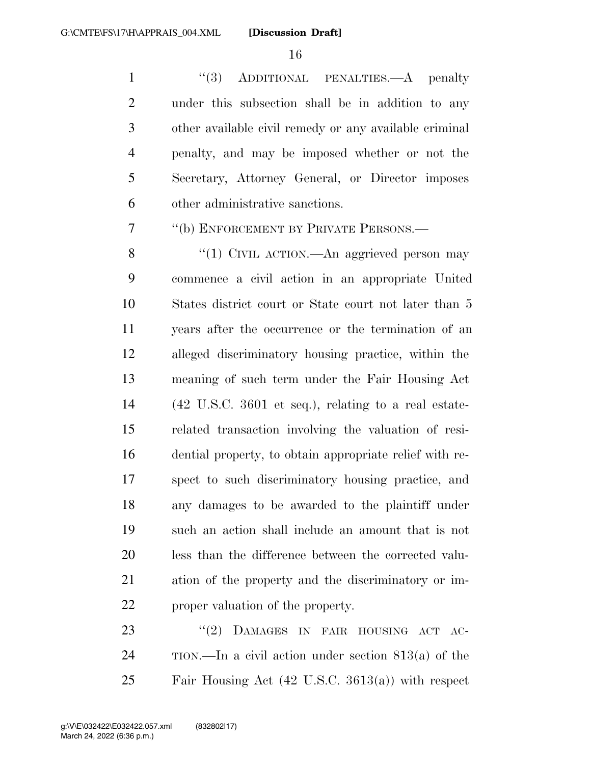1 ''(3) ADDITIONAL PENALTIES.—A penalty 2 3 4 5 6 under this subsection shall be in addition to any other available civil remedy or any available criminal penalty, and may be imposed whether or not the Secretary, Attorney General, or Director imposes other administrative sanctions.

7 ''(b) ENFORCEMENT BY PRIVATE PERSONS.—

8 9 10 11 12 13 14 15 16 17 18 19 20 21 22 ''(1) CIVIL ACTION.—An aggrieved person may commence a civil action in an appropriate United States district court or State court not later than 5 years after the occurrence or the termination of an alleged discriminatory housing practice, within the meaning of such term under the Fair Housing Act (42 U.S.C. 3601 et seq.), relating to a real estaterelated transaction involving the valuation of residential property, to obtain appropriate relief with respect to such discriminatory housing practice, and any damages to be awarded to the plaintiff under such an action shall include an amount that is not less than the difference between the corrected valuation of the property and the discriminatory or improper valuation of the property.

23 24 ''(2) DAMAGES IN FAIR HOUSING ACT AC-TION.—In a civil action under section 813(a) of the 25 Fair Housing Act (42 U.S.C. 3613(a)) with respect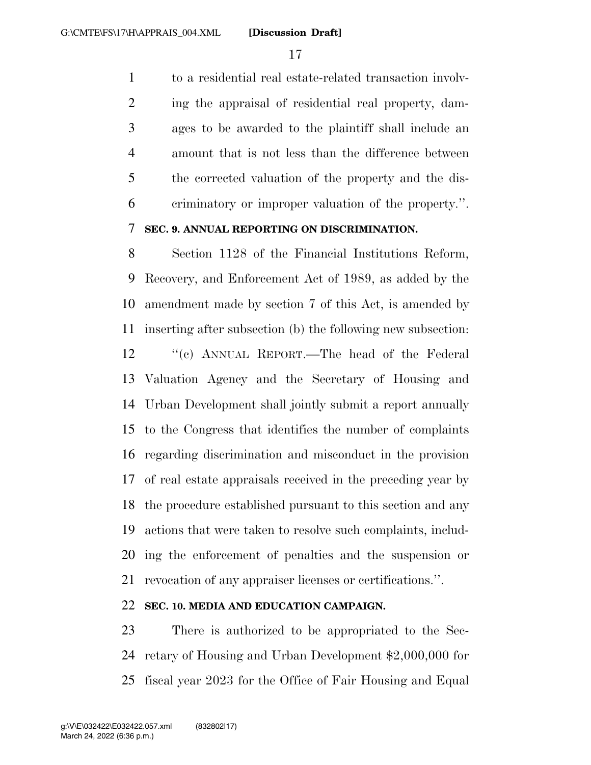to a residential real estate-related transaction involv- ing the appraisal of residential real property, dam- ages to be awarded to the plaintiff shall include an amount that is not less than the difference between the corrected valuation of the property and the dis-criminatory or improper valuation of the property.''.

# **SEC. 9. ANNUAL REPORTING ON DISCRIMINATION.**

 Section 1128 of the Financial Institutions Reform, Recovery, and Enforcement Act of 1989, as added by the amendment made by section 7 of this Act, is amended by inserting after subsection (b) the following new subsection: ''(c) ANNUAL REPORT.—The head of the Federal Valuation Agency and the Secretary of Housing and Urban Development shall jointly submit a report annually to the Congress that identifies the number of complaints regarding discrimination and misconduct in the provision of real estate appraisals received in the preceding year by the procedure established pursuant to this section and any actions that were taken to resolve such complaints, includ- ing the enforcement of penalties and the suspension or revocation of any appraiser licenses or certifications.''.

## **SEC. 10. MEDIA AND EDUCATION CAMPAIGN.**

 There is authorized to be appropriated to the Sec- retary of Housing and Urban Development \$2,000,000 for fiscal year 2023 for the Office of Fair Housing and Equal